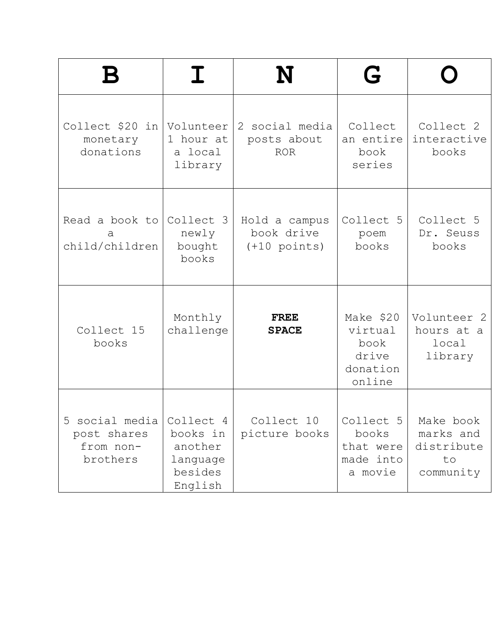|                                                                  |                                                       | N                                             | G                                                           |                                                         |
|------------------------------------------------------------------|-------------------------------------------------------|-----------------------------------------------|-------------------------------------------------------------|---------------------------------------------------------|
| Collect \$20 in<br>monetary<br>donations                         | Volunteer<br>1 hour at<br>a local<br>library          | 2 social media<br>posts about<br><b>ROR</b>   | Collect<br>an entire<br>book<br>series                      | Collect 2<br>interactive<br>books                       |
| Read a book to<br>а<br>child/children                            | Collect 3<br>newly<br>bought<br>books                 | Hold a campus<br>book drive<br>$(+10$ points) | Collect 5<br>poem<br>books                                  | Collect 5<br>Dr. Seuss<br>books                         |
| Collect 15<br>books                                              | Monthly<br>challenge                                  | <b>FREE</b><br><b>SPACE</b>                   | Make \$20<br>virtual<br>book<br>drive<br>donation<br>online | Volunteer 2<br>hours at a<br>local<br>library           |
| 5 social media Collect 4<br>post shares<br>from non-<br>brothers | books in<br>another<br>language<br>besides<br>English | Collect 10<br>picture books                   | Collect 5<br>books<br>that were<br>made into<br>a movie     | Make book<br>marks and<br>distribute<br>to<br>community |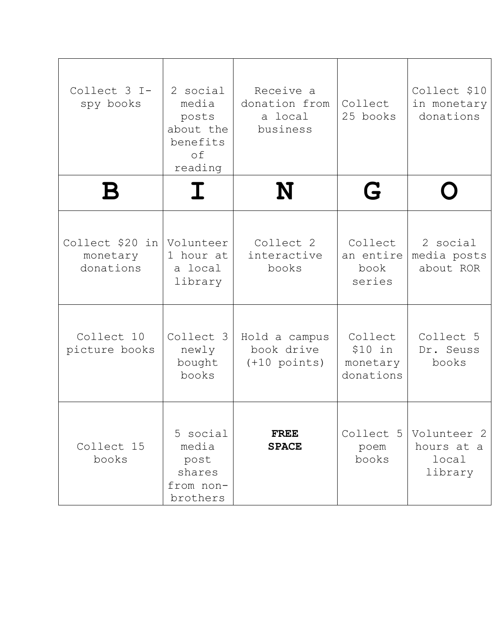| Collect 3 I-<br>spy books                | 2 social<br>media<br>posts<br>about the<br>benefits<br>of<br>reading | Receive a<br>donation from<br>a local<br>business | Collect<br>25 books                         | Collect \$10<br>in monetary<br>donations                 |
|------------------------------------------|----------------------------------------------------------------------|---------------------------------------------------|---------------------------------------------|----------------------------------------------------------|
|                                          |                                                                      |                                                   | G                                           |                                                          |
| Collect \$20 in<br>monetary<br>donations | Volunteer<br>1 hour at<br>a local<br>library                         | Collect <sub>2</sub><br>interactive<br>books      | Collect<br>an entire<br>book<br>series      | 2 social<br>media posts<br>about ROR                     |
| Collect 10<br>picture books              | Collect 3<br>newly<br>bought<br>books                                | Hold a campus<br>book drive<br>$(+10$ points)     | Collect<br>\$10 in<br>monetary<br>donations | Collect 5<br>Dr. Seuss<br>books                          |
| Collect 15<br>books                      | 5 social<br>media<br>post<br>shares<br>from non-<br>brothers         | <b>FREE</b><br><b>SPACE</b>                       | Collect 5<br>poem<br>books                  | Volunteer <sub>2</sub><br>hours at a<br>local<br>library |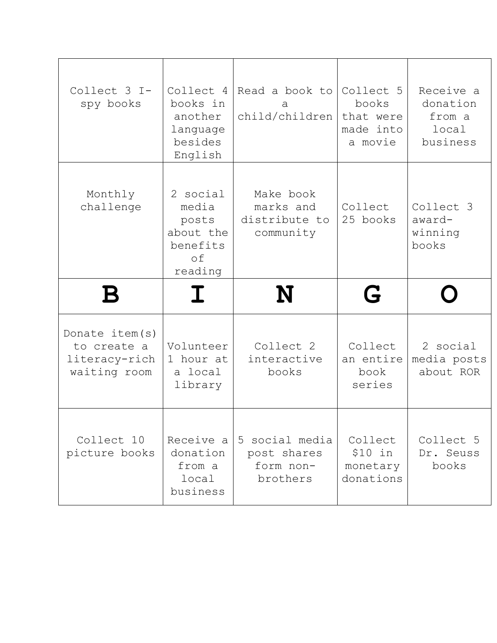| Collect 3 I-<br>spy books                                        | Collect 4<br>books in<br>another<br>language                         | Read a book to<br>a<br>child/children                | Collect 5<br>books<br>that were<br>made into | Receive a<br>donation<br>from a<br>local |
|------------------------------------------------------------------|----------------------------------------------------------------------|------------------------------------------------------|----------------------------------------------|------------------------------------------|
|                                                                  | besides<br>English                                                   |                                                      | a movie                                      | business                                 |
| Monthly<br>challenge                                             | 2 social<br>media<br>posts<br>about the<br>benefits<br>of<br>reading | Make book<br>marks and<br>distribute to<br>community | Collect<br>25 books                          | Collect 3<br>award-<br>winning<br>books  |
|                                                                  |                                                                      |                                                      |                                              |                                          |
|                                                                  |                                                                      |                                                      | G                                            |                                          |
| Donate $item(s)$<br>to create a<br>literacy-rich<br>waiting room | Volunteer<br>1 hour at<br>a local<br>library                         | Collect 2<br>interactive<br>books                    | Collect<br>an entire<br>book<br>series       | 2 social<br>media posts<br>about ROR     |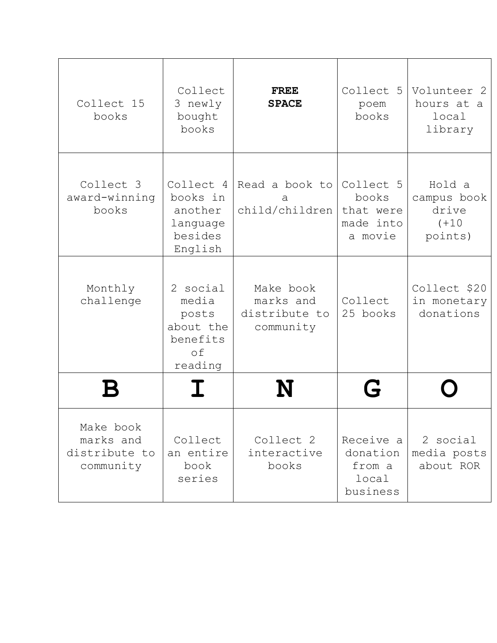| Collect 15<br>books                                  | Collect<br>3 newly<br>bought<br>books                                | <b>FREE</b><br><b>SPACE</b>                          | Collect 5<br>poem<br>books                              | Volunteer 2<br>hours at a<br>local<br>library        |
|------------------------------------------------------|----------------------------------------------------------------------|------------------------------------------------------|---------------------------------------------------------|------------------------------------------------------|
| Collect 3<br>award-winning<br>books                  | Collect 4<br>books in<br>another<br>language<br>besides<br>English   | Read a book to<br>a<br>child/children                | Collect 5<br>books<br>that were<br>made into<br>a movie | Hold a<br>campus book<br>drive<br>$(+10)$<br>points) |
| Monthly<br>challenge                                 | 2 social<br>media<br>posts<br>about the<br>benefits<br>оf<br>reading | Make book<br>marks and<br>distribute to<br>community | Collect<br>25 books                                     | Collect \$20<br>in monetary<br>donations             |
|                                                      |                                                                      |                                                      |                                                         |                                                      |
| Make book<br>marks and<br>distribute to<br>community | Collect<br>an entire<br>book<br>series                               | Collect 2<br>interactive<br>books                    | Receive a<br>donation<br>from a<br>local<br>business    | 2 social<br>media posts<br>about ROR                 |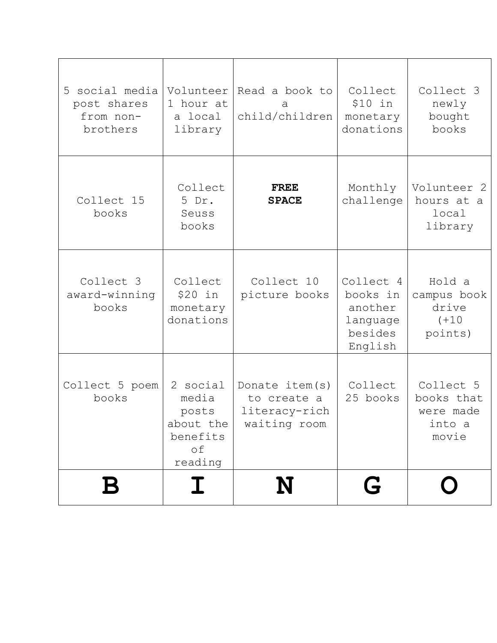| 5 social media<br>post shares<br>from non-<br>brothers | Volunteer<br>1 hour at<br>a local<br>library                         | Read a book to<br>а<br>child/children                          | Collect<br>$$10$ in<br>monetary<br>donations                       | Collect 3<br>newly<br>bought<br>books                   |
|--------------------------------------------------------|----------------------------------------------------------------------|----------------------------------------------------------------|--------------------------------------------------------------------|---------------------------------------------------------|
| Collect 15<br>books                                    | Collect<br>5 Dr.<br>Seuss<br>books                                   | <b>FREE</b><br><b>SPACE</b>                                    | Monthly<br>challenge                                               | Volunteer 2<br>hours at a<br>local<br>library           |
| Collect 3<br>award-winning<br>books                    | Collect<br>\$20 in<br>monetary<br>donations                          | Collect 10<br>picture books                                    | Collect 4<br>books in<br>another<br>language<br>besides<br>English | Hold a<br>campus book<br>drive<br>$(+10)$<br>points)    |
| Collect 5 poem<br>books                                | 2 social<br>media<br>posts<br>about the<br>benefits<br>of<br>reading | Donate item(s)<br>to create a<br>literacy-rich<br>waiting room | Collect<br>25 books                                                | Collect 5<br>books that<br>were made<br>into a<br>movie |
| B                                                      |                                                                      | N                                                              | G                                                                  |                                                         |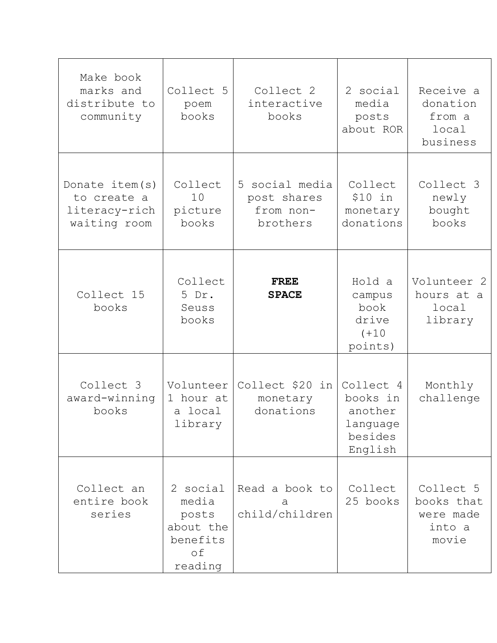| Make book<br>marks and<br>distribute to<br>community            | Collect 5<br>poem<br>books                                           | Collect 2<br>interactive<br>books                      | 2 social<br>media<br>posts<br>about ROR                            | Receive a<br>donation<br>from a<br>local<br>business     |
|-----------------------------------------------------------------|----------------------------------------------------------------------|--------------------------------------------------------|--------------------------------------------------------------------|----------------------------------------------------------|
| Donate item (s)<br>to create a<br>literacy-rich<br>waiting room | Collect<br>10<br>picture<br>books                                    | 5 social media<br>post shares<br>from non-<br>brothers | Collect<br>$$10$ in<br>monetary<br>donations                       | Collect 3<br>newly<br>bought<br>books                    |
| Collect 15<br>books                                             | Collect<br>5 Dr.<br>Seuss<br>books                                   | <b>FREE</b><br><b>SPACE</b>                            | Hold a<br>campus<br>book<br>drive<br>$(+10)$<br>points)            | Volunteer <sub>2</sub><br>hours at a<br>local<br>library |
| Collect 3<br>award-winning<br>books                             | Volunteer<br>1 hour at<br>a local<br>library                         | Collect \$20 in<br>monetary<br>donations               | Collect 4<br>books in<br>another<br>language<br>besides<br>English | Monthly<br>challenge                                     |
| Collect an<br>entire book<br>series                             | 2 social<br>media<br>posts<br>about the<br>benefits<br>оf<br>reading | Read a book to<br>а<br>child/children                  | Collect<br>25 books                                                | Collect 5<br>books that<br>were made<br>into a<br>movie  |